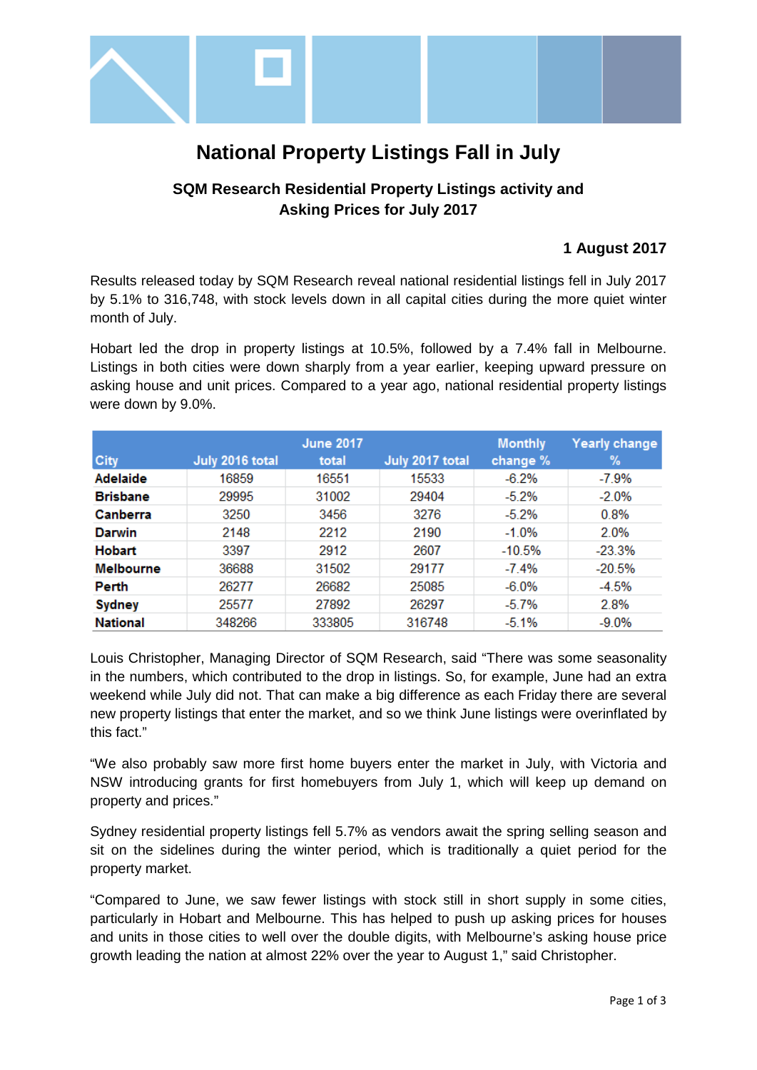

# **National Property Listings Fall in July**

## **SQM Research Residential Property Listings activity and Asking Prices for July 2017**

### **1 August 2017**

Results released today by SQM Research reveal national residential listings fell in July 2017 by 5.1% to 316,748, with stock levels down in all capital cities during the more quiet winter month of July.

Hobart led the drop in property listings at 10.5%, followed by a 7.4% fall in Melbourne. Listings in both cities were down sharply from a year earlier, keeping upward pressure on asking house and unit prices. Compared to a year ago, national residential property listings were down by 9.0%.

|                  |                 | <b>June 2017</b> |                 | <b>Monthly</b> | Yearly change |
|------------------|-----------------|------------------|-----------------|----------------|---------------|
| <b>City</b>      | July 2016 total | total            | July 2017 total | change %       | ℅             |
| <b>Adelaide</b>  | 16859           | 16551            | 15533           | $-6.2\%$       | $-7.9\%$      |
| <b>Brisbane</b>  | 29995           | 31002            | 29404           | $-5.2%$        | $-2.0%$       |
| Canberra         | 3250            | 3456             | 3276            | $-5.2%$        | 0.8%          |
| Darwin           | 2148            | 2212             | 2190            | $-1.0%$        | 2.0%          |
| <b>Hobart</b>    | 3397            | 2912             | 2607            | $-10.5%$       | $-23.3%$      |
| <b>Melbourne</b> | 36688           | 31502            | 29177           | $-7.4%$        | $-20.5%$      |
| Perth            | 26277           | 26682            | 25085           | $-6.0\%$       | $-4.5%$       |
| <b>Sydney</b>    | 25577           | 27892            | 26297           | $-5.7%$        | 2.8%          |
| <b>National</b>  | 348266          | 333805           | 316748          | $-5.1%$        | $-9.0\%$      |

Louis Christopher, Managing Director of SQM Research, said "There was some seasonality in the numbers, which contributed to the drop in listings. So, for example, June had an extra weekend while July did not. That can make a big difference as each Friday there are several new property listings that enter the market, and so we think June listings were overinflated by this fact."

"We also probably saw more first home buyers enter the market in July, with Victoria and NSW introducing grants for first homebuyers from July 1, which will keep up demand on property and prices."

Sydney residential property listings fell 5.7% as vendors await the spring selling season and sit on the sidelines during the winter period, which is traditionally a quiet period for the property market.

"Compared to June, we saw fewer listings with stock still in short supply in some cities, particularly in Hobart and Melbourne. This has helped to push up asking prices for houses and units in those cities to well over the double digits, with Melbourne's asking house price growth leading the nation at almost 22% over the year to August 1," said Christopher.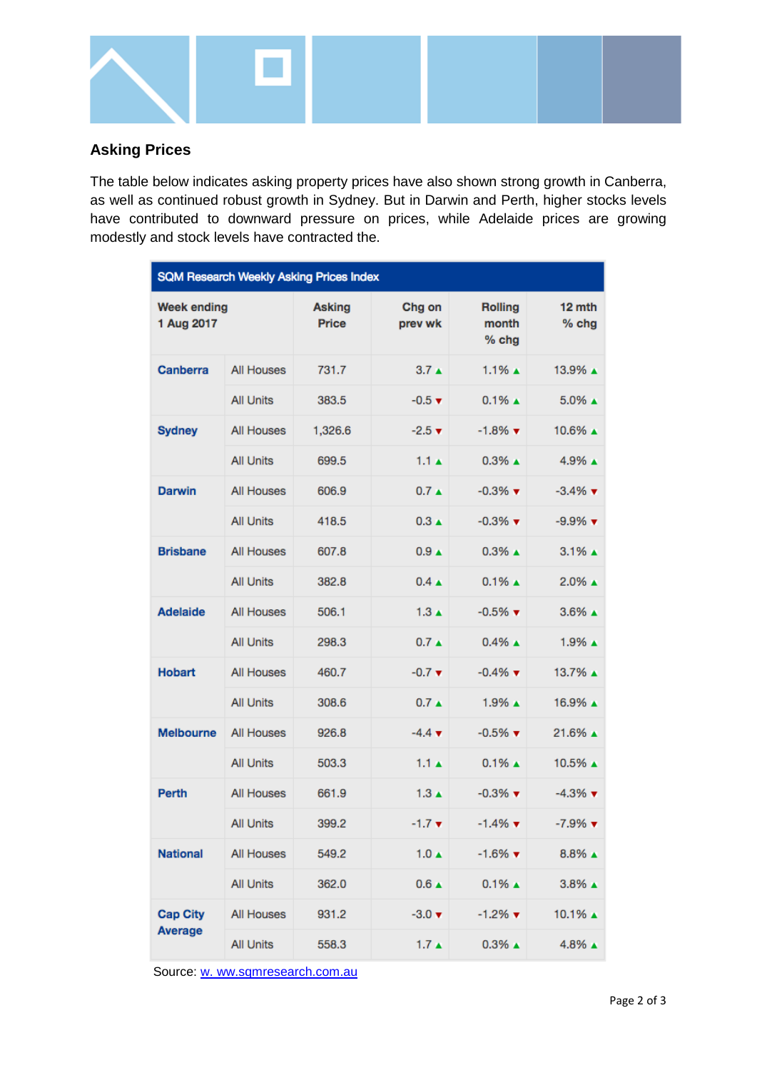

## **Asking Prices**

The table below indicates asking property prices have also shown strong growth in Canberra, as well as continued robust growth in Sydney. But in Darwin and Perth, higher stocks levels have contributed to downward pressure on prices, while Adelaide prices are growing modestly and stock levels have contracted the.

| <b>SQM Research Weekly Asking Prices Index</b> |                   |                        |                             |                                  |                               |  |  |  |
|------------------------------------------------|-------------------|------------------------|-----------------------------|----------------------------------|-------------------------------|--|--|--|
| <b>Week ending</b><br>1 Aug 2017               |                   | <b>Asking</b><br>Price | Chg on<br>prev wk           | <b>Rolling</b><br>month<br>% chg | 12 mth<br>$%$ chg             |  |  |  |
| <b>Canberra</b>                                | <b>All Houses</b> | 731.7                  | 3.7 <sub>A</sub>            | $1.1\%$ $\triangle$              | 13.9% ▲                       |  |  |  |
|                                                | <b>All Units</b>  | 383.5                  | $-0.5$ $\times$             | $0.1\%$ $\triangle$              | 5.0% ▲                        |  |  |  |
| <b>Sydney</b>                                  | <b>All Houses</b> | 1,326.6                | $-2.5$ $\times$             | $-1.8\%$ $\blacktriangledown$    | 10.6% A                       |  |  |  |
|                                                | <b>All Units</b>  | 699.5                  | $1.1 \triangle$             | $0.3\%$ $\triangle$              | 4.9% ▲                        |  |  |  |
| <b>Darwin</b>                                  | <b>All Houses</b> | 606.9                  | $0.7 \triangle$             | $-0.3\%$ $\blacktriangledown$    | $-3.4\%$ $\blacktriangledown$ |  |  |  |
|                                                | <b>All Units</b>  | 418.5                  | $0.3 \triangle$             | $-0.3\%$ $\blacktriangledown$    | $-9.9\%$ $\blacktriangledown$ |  |  |  |
| <b>Brisbane</b>                                | <b>All Houses</b> | 607.8                  | 0.9 <sub>A</sub>            | $0.3\%$ $\triangle$              | $3.1\%$ $\triangle$           |  |  |  |
|                                                | <b>All Units</b>  | 382.8                  | $0.4 \triangle$             | $0.1\%$ $\triangle$              | $2.0\%$ $\triangle$           |  |  |  |
| <b>Adelaide</b>                                | <b>All Houses</b> | 506.1                  | $1.3 \triangle$             | $-0.5\%$ $\blacktriangledown$    | $3.6\%$ $\triangle$           |  |  |  |
|                                                | <b>All Units</b>  | 298.3                  | $0.7 \triangle$             | $0.4\%$ $\triangle$              | 1.9% ▲                        |  |  |  |
| <b>Hobart</b>                                  | <b>All Houses</b> | 460.7                  | $-0.7$ $\blacktriangledown$ | $-0.4\%$ $\blacktriangledown$    | 13.7% ▲                       |  |  |  |
|                                                | <b>All Units</b>  | 308.6                  | $0.7 \triangle$             | $1.9\%$ $\triangle$              | 16.9% ▲                       |  |  |  |
| <b>Melbourne</b>                               | <b>All Houses</b> | 926.8                  | $-4.4 \; \text{V}$          | $-0.5\%$ $\blacktriangledown$    | 21.6% ▲                       |  |  |  |
|                                                | <b>All Units</b>  | 503.3                  | $1.1 \star$                 | $0.1\%$ $\triangle$              | 10.5% ▲                       |  |  |  |
| <b>Perth</b>                                   | <b>All Houses</b> | 661.9                  | $1.3 \triangle$             | $-0.3\%$ $\blacktriangledown$    | $-4.3\%$ $\blacktriangledown$ |  |  |  |
|                                                | <b>All Units</b>  | 399.2                  | $-1.7$ $\tau$               | $-1.4\%$ $\blacktriangledown$    | $-7.9\%$ $\blacktriangledown$ |  |  |  |
| <b>National</b>                                | <b>All Houses</b> | 549.2                  | $1.0 \triangle$             | $-1.6\%$ $\blacktriangledown$    | $8.8\%$ $\triangle$           |  |  |  |
|                                                | <b>All Units</b>  | 362.0                  | $0.6 \triangle$             | $0.1\%$ $\triangle$              | $3.8\%$ $\triangle$           |  |  |  |
| <b>Cap City</b><br><b>Average</b>              | <b>All Houses</b> | 931.2                  | $-3.0 \, \text{V}$          | $-1.2\%$ $\blacktriangledown$    | 10.1% ▲                       |  |  |  |
|                                                | <b>All Units</b>  | 558.3                  | $1.7 \triangle$             | $0.3\%$ $\triangle$              | $4.8\%$ $\triangle$           |  |  |  |

Source: [w. ww.sqmresearch.com.au](http://www.sqmresearch.com.au/)